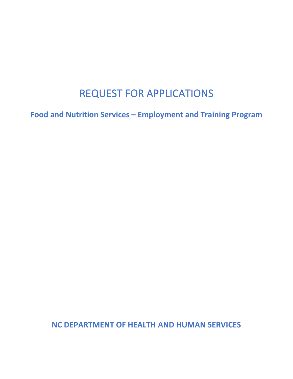# REQUEST FOR APPLICATIONS

**Food and Nutrition Services – Employment and Training Program**

**NC DEPARTMENT OF HEALTH AND HUMAN SERVICES**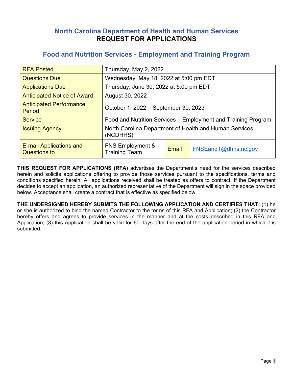# **North Carolina Department of Health and Human Services REQUEST FOR APPLICATIONS**

# **Food and Nutrition Services - Employment and Training Program**

| <b>RFA Posted</b>                              | Thursday, May 2, 2022                                              |                                        |                      |  |  |
|------------------------------------------------|--------------------------------------------------------------------|----------------------------------------|----------------------|--|--|
| <b>Questions Due</b>                           |                                                                    | Wednesday, May 18, 2022 at 5:00 pm EDT |                      |  |  |
| <b>Applications Due</b>                        |                                                                    | Thursday, June 30, 2022 at 5:00 pm EDT |                      |  |  |
| <b>Anticipated Notice of Award</b>             | August 30, 2022                                                    |                                        |                      |  |  |
| <b>Anticipated Performance</b><br>Period       | October 1, 2022 – September 30, 2023                               |                                        |                      |  |  |
| <b>Service</b>                                 | Food and Nutrition Services – Employment and Training Program      |                                        |                      |  |  |
| <b>Issuing Agency</b>                          | North Carolina Department of Health and Human Services<br>(NCDHHS) |                                        |                      |  |  |
| <b>E-mail Applications and</b><br>Questions to | <b>FNS Employment &amp;</b><br><b>Training Team</b>                | Email                                  | FNSEandT@dhhs.nc.gov |  |  |

**THIS REQUEST FOR APPLICATIONS (RFA)** advertises the Department's need for the services described herein and solicits applications offering to provide those services pursuant to the specifications, terms and conditions specified herein. All applications received shall be treated as offers to contract. If the Department decides to accept an application, an authorized representative of the Department will sign in the space provided below. Acceptance shall create a contract that is effective as specified below.

**THE UNDERSIGNED HEREBY SUBMITS THE FOLLOWING APPLICATION AND CERTIFIES THAT:** (1) he or she is authorized to bind the named Contractor to the terms of this RFA and Application; (2) the Contractor hereby offers and agrees to provide services in the manner and at the costs described in this RFA and Application; (3) this Application shall be valid for 60 days after the end of the application period in which it is submitted.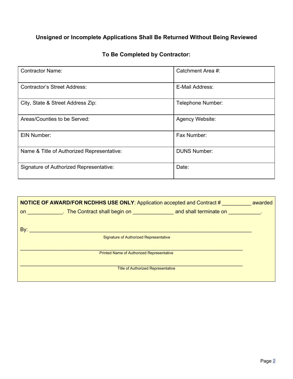# **Unsigned or Incomplete Applications Shall Be Returned Without Being Reviewed**

# **To Be Completed by Contractor:**

| <b>Contractor Name:</b>                    | Catchment Area #:   |
|--------------------------------------------|---------------------|
| <b>Contractor's Street Address:</b>        | E-Mail Address:     |
| City, State & Street Address Zip:          | Telephone Number:   |
| Areas/Counties to be Served:               | Agency Website:     |
| <b>EIN Number:</b>                         | Fax Number:         |
| Name & Title of Authorized Representative: | <b>DUNS Number:</b> |
| Signature of Authorized Representative:    | Date:               |

| <b>NOTICE OF AWARD/FOR NCDHHS USE ONLY:</b> Application accepted and Contract #<br>awarded |                                                                                                                 |  |  |  |
|--------------------------------------------------------------------------------------------|-----------------------------------------------------------------------------------------------------------------|--|--|--|
|                                                                                            | on the Contract shall begin on the contract shall begin on the state of the state of the contract shall begin o |  |  |  |
|                                                                                            |                                                                                                                 |  |  |  |
| By:                                                                                        |                                                                                                                 |  |  |  |
|                                                                                            | <b>Signature of Authorized Representative</b>                                                                   |  |  |  |
|                                                                                            |                                                                                                                 |  |  |  |
|                                                                                            | <b>Printed Name of Authorized Representative</b>                                                                |  |  |  |
|                                                                                            |                                                                                                                 |  |  |  |
|                                                                                            | <b>Title of Authorized Representative</b>                                                                       |  |  |  |
|                                                                                            |                                                                                                                 |  |  |  |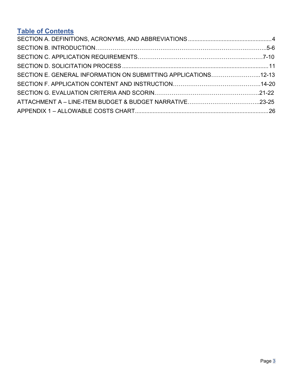# **Table of Contents**

| SECTION E. GENERAL INFORMATION ON SUBMITTING APPLICATIONS12-13 |  |
|----------------------------------------------------------------|--|
|                                                                |  |
|                                                                |  |
|                                                                |  |
|                                                                |  |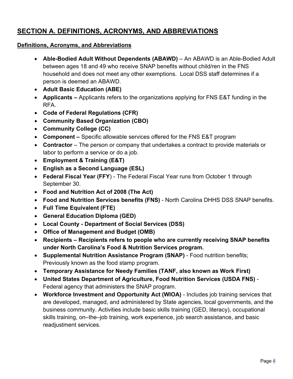# <span id="page-4-0"></span>**SECTION A. DEFINITIONS, ACRONYMS, AND ABBREVIATIONS**

### **Definitions, Acronyms, and Abbreviations**

- **Able-Bodied Adult Without Dependents (ABAWD)** An ABAWD is an Able-Bodied Adult between ages 18 and 49 who receive SNAP benefits without child/ren in the FNS household and does not meet any other exemptions. Local DSS staff determines if a person is deemed an ABAWD.
- **Adult Basic Education (ABE)**
- **Applicants –** Applicants refers to the organizations applying for FNS E&T funding in the RFA.
- **Code of Federal Regulations (CFR)**
- **Community Based Organization (CBO)**
- **Community College (CC)**
- **Component –** Specific allowable services offered for the FNS E&T program
- **Contractor** The person or company that undertakes a contract to provide materials or labor to perform a service or do a job.
- **Employment & Training (E&T)**
- **English as a Second Language (ESL)**
- **Federal Fiscal Year (FFY**) The Federal Fiscal Year runs from October 1 through September 30.
- **Food and Nutrition Act of 2008 (The Act)**
- **Food and Nutrition Services benefits (FNS)**  North Carolina DHHS DSS SNAP benefits.
- **Full Time Equivalent (FTE)**
- **General Education Diploma (GED)**
- **Local County - Department of Social Services (DSS)**
- **Office of Management and Budget (OMB)**
- **Recipients – Recipients refers to people who are currently receiving SNAP benefits under North Carolina's Food & Nutrition Services program.**
- **Supplemental Nutrition Assistance Program (SNAP)**  Food nutrition benefits; Previously known as the food stamp program.
- **Temporary Assistance for Needy Families (TANF, also known as Work First)**
- **United States Department of Agriculture, Food Nutrition Services (USDA FNS)**  Federal agency that administers the SNAP program.
- **Workforce Investment and Opportunity Act (WIOA)** Includes job training services that are developed, managed, and administered by State agencies, local governments, and the business community. Activities include basic skills training (GED, literacy), occupational skills training, on–the–job training, work experience, job search assistance, and basic readjustment services.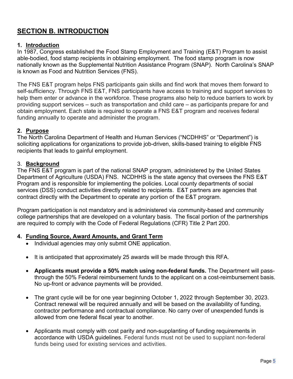# <span id="page-5-0"></span>**SECTION B. INTRODUCTION**

#### **1. Introduction**

In 1987, Congress established the Food Stamp Employment and Training (E&T) Program to assist able-bodied, food stamp recipients in obtaining employment. The food stamp program is now nationally known as the Supplemental Nutrition Assistance Program (SNAP). North Carolina's SNAP is known as Food and Nutrition Services (FNS).

The FNS E&T program helps FNS participants gain skills and find work that moves them forward to self-sufficiency. Through FNS E&T, FNS participants have access to training and support services to help them enter or advance in the workforce. These programs also help to reduce barriers to work by providing support services – such as transportation and child care – as participants prepare for and obtain employment. Each state is required to operate a FNS E&T program and receives federal funding annually to operate and administer the program.

#### **2. Purpose**

The North Carolina Department of Health and Human Services ("NCDHHS" or "Department") is soliciting applications for organizations to provide job-driven, skills-based training to eligible FNS recipients that leads to gainful employment.

#### 3. **Background**

The FNS E&T program is part of the national SNAP program, administered by the United States Department of Agriculture (USDA) FNS. NCDHHS is the state agency that oversees the FNS E&T Program and is responsible for implementing the policies. Local county departments of social services (DSS) conduct activities directly related to recipients. E&T partners are agencies that contract directly with the Department to operate any portion of the E&T program.

Program participation is not mandatory and is administered via community-based and community college partnerships that are developed on a voluntary basis. The fiscal portion of the partnerships are required to comply with the Code of Federal Regulations (CFR) Title 2 Part 200.

#### **4. Funding Source, Award Amounts, and Grant Term**

- Individual agencies may only submit ONE application.
- It is anticipated that approximately 25 awards will be made through this RFA.
- **Applicants must provide a 50% match using non-federal funds.** The Department will passthrough the 50% Federal reimbursement funds to the applicant on a cost-reimbursement basis. No up-front or advance payments will be provided.
- The grant cycle will be for one year beginning October 1, 2022 through September 30, 2023. Contract renewal will be required annually and will be based on the availability of funding, contractor performance and contractual compliance. No carry over of unexpended funds is allowed from one federal fiscal year to another.
- Applicants must comply with cost parity and non-supplanting of funding requirements in accordance with USDA guidelines. Federal funds must not be used to supplant non-federal funds being used for existing services and activities.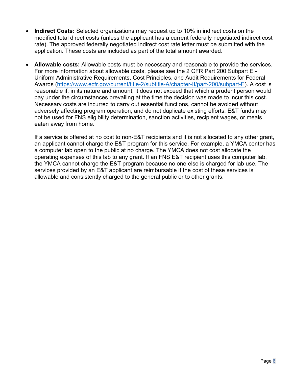- **Indirect Costs:** Selected organizations may request up to 10% in indirect costs on the modified total direct costs (unless the applicant has a current federally negotiated indirect cost rate). The approved federally negotiated indirect cost rate letter must be submitted with the application. These costs are included as part of the total amount awarded.
- **Allowable costs:** Allowable costs must be necessary and reasonable to provide the services. For more information about allowable costs, please see the 2 CFR Part 200 Subpart E - Uniform Administrative Requirements, Cost Principles, and Audit Requirements for Federal Awards [\(https://www.ecfr.gov/current/title-2/subtitle-A/chapter-II/part-200/subpart-E\)](https://www.ecfr.gov/current/title-2/subtitle-A/chapter-II/part-200/subpart-E). A cost is reasonable if, in its nature and amount, it does not exceed that which a prudent person would pay under the circumstances prevailing at the time the decision was made to incur this cost. Necessary costs are incurred to carry out essential functions, cannot be avoided without adversely affecting program operation, and do not duplicate existing efforts. E&T funds may not be used for FNS eligibility determination, sanction activities, recipient wages, or meals eaten away from home.

If a service is offered at no cost to non-E&T recipients and it is not allocated to any other grant, an applicant cannot charge the E&T program for this service. For example, a YMCA center has a computer lab open to the public at no charge. The YMCA does not cost allocate the operating expenses of this lab to any grant. If an FNS E&T recipient uses this computer lab, the YMCA cannot charge the E&T program because no one else is charged for lab use. The services provided by an E&T applicant are reimbursable if the cost of these services is allowable and consistently charged to the general public or to other grants.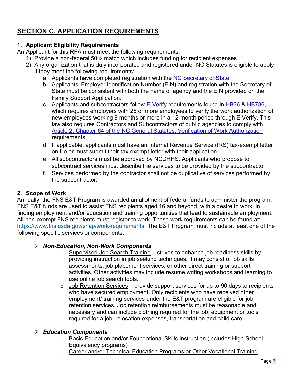# <span id="page-7-0"></span>**SECTION C. APPLICATION REQUIREMENTS**

### **1. Applicant Eligibility Requirements**

An Applicant for this RFA must meet the following requirements:

- 1) Provide a non-federal 50% match which includes funding for recipient expenses
- 2) Any organization that is duly incorporated and registered under NC Statutes is eligible to apply if they meet the following requirements:
	- a. Applicants have completed registration with the [NC Secretary of State.](https://www.sosnc.gov/Guides/launching_a_business)
	- b. Applicants' Employer Identification Number (EIN) and registration with the Secretary of State must be consistent with both the name of agency and the EIN provided on the Family Support Application.
	- c. Applicants and subcontractors follow [E-Verify](https://www.e-verify.gov/) requirements found in [HB36](https://www.ncleg.net/Sessions/2011/Bills/House/PDF/H36v8.pdf) & [HB786,](https://www.ncleg.net/Sessions/2013/Bills/House/HTML/H786v6.html) which requires employers with 25 or more employees to verify the work authorization of new employees working 9 months or more in a 12-month period through E Verify. This law also requires Contractors and Subcontractors of public agencies to comply with [Article 2: Chapter 64 of the NC General Statutes: Verification of Work Authorization](http://www.ncleg.net/EnactedLegislation/Statutes/HTML/ByArticle/Chapter_64/Article_2.html) requirements.
	- d. If applicable, applicants must have an Internal Revenue Service (IRS) tax-exempt letter on file or must submit their tax-exempt letter with their application.
	- e. All subcontractors must be approved by NCDHHS. Applicants who propose to subcontract services must describe the services to be provided by the subcontractor.
	- f. Services performed by the contractor shall not be duplicative of services performed by the subcontractor.

# **2. Scope of Work**

Annually, the FNS E&T Program is awarded an allotment of federal funds to administer the program. FNS E&T funds are used to assist FNS recipients aged 16 and beyond, with a desire to work, in finding employment and/or education and training opportunities that lead to sustainable employment. All non-exempt FNS recipients must register to work. These work requirements can be found at: [https://www.fns.usda.gov/snap/work-requirements.](https://www.fns.usda.gov/snap/work-requirements) The E&T Program must include at least one of the following specific services or components:

### *Non-Education, Non-Work Components*

- $\circ$  Supervised Job Search Training strives to enhance job readiness skills by providing instruction in job seeking techniques. It may consist of job skills assessments, job placement services, or other direct training or support activities. Other activities may include resume writing workshops and learning to use online job search tools.
- $\circ$  Job Retention Services provide support services for up to 90 days to recipients who have secured employment. Only recipients who have received other employment/ training services under the E&T program are eligible for job retention services. Job retention reimbursements must be reasonable and necessary and can include clothing required for the job, equipment or tools required for a job, relocation expenses, transportation and child care.

# *Education Components*

- o Basic Education and/or Foundational Skills Instruction (includes High School Equivalency programs)
- o Career and/or Technical Education Programs or Other Vocational Training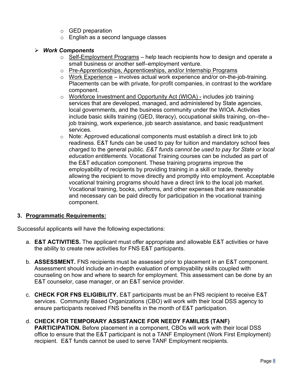- o GED preparation
- o English as a second language classes

### *Work Components*

- $\circ$  Self-Employment Programs help teach recipients how to design and operate a small business or another self–employment venture.
- o Pre-Apprenticeships, Apprenticeships, and/or Internship Programs
- $\circ$  Work Experience involves actual work experience and/or on-the-iob-training. Placements can be with private, for-profit companies, in contrast to the workfare component.
- $\circ$  Workforce Investment and Opportunity Act (WIOA) includes job training services that are developed, managed, and administered by State agencies, local governments, and the business community under the WIOA. Activities include basic skills training (GED, literacy), occupational skills training, on–the– job training, work experience, job search assistance, and basic readjustment services.
- $\circ$  Note: Approved educational components must establish a direct link to job readiness. E&T funds can be used to pay for tuition and mandatory school fees charged to the general public. *E&T funds cannot be used to pay for State or local education entitlements.* Vocational Training courses can be included as part of the E&T education component. These training programs improve the employability of recipients by providing training in a skill or trade, thereby allowing the recipient to move directly and promptly into employment. Acceptable vocational training programs should have a direct link to the local job market. Vocational training, books, uniforms, and other expenses that are reasonable and necessary can be paid directly for participation in the vocational training component.

### **3. Programmatic Requirements:**

Successful applicants will have the following expectations:

- a. **E&T ACTIVITIES.** The applicant must offer appropriate and allowable E&T activities or have the ability to create new activities for FNS E&T participants.
- b. **ASSESSMENT.** FNS recipients must be assessed prior to placement in an E&T component. Assessment should include an in-depth evaluation of employability skills coupled with counseling on how and where to search for employment. This assessment can be done by an E&T counselor, case manager, or an E&T service provider.
- c. **CHECK FOR FNS ELIGIBILITY.** E&T participants must be an FNS recipient to receive E&T services. Community Based Organizations (CBO) will work with their local DSS agency to ensure participants received FNS benefits in the month of E&T participation.

#### d. **CHECK FOR TEMPORARY ASSISTANCE FOR NEEDY FAMILIES (TANF) PARTICIPATION.** Before placement in a component, CBOs will work with their local DSS office to ensure that the E&T participant is not a TANF Employment (Work First Employment) recipient. E&T funds cannot be used to serve TANF Employment recipients.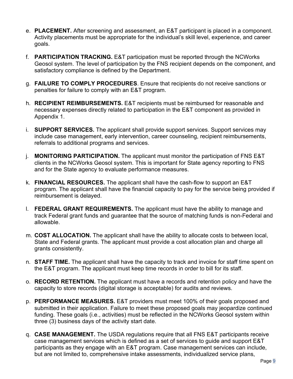- e. **PLACEMENT.** After screening and assessment, an E&T participant is placed in a component. Activity placements must be appropriate for the individual's skill level, experience, and career goals.
- f. **PARTICIPATION TRACKING.** E&T participation must be reported through the NCWorks Geosol system. The level of participation by the FNS recipient depends on the component, and satisfactory compliance is defined by the Department.
- g. **FAILURE TO COMPLY PROCEDURES**. Ensure that recipients do not receive sanctions or penalties for failure to comply with an E&T program.
- h. **RECIPIENT REIMBURSEMENTS.** E&T recipients must be reimbursed for reasonable and necessary expenses directly related to participation in the E&T component as provided in Appendix 1.
- i. **SUPPORT SERVICES.** The applicant shall provide support services. Support services may include case management, early intervention, career counseling, recipient reimbursements, referrals to additional programs and services.
- j. **MONITORING PARTICIPATION.** The applicant must monitor the participation of FNS E&T clients in the NCWorks Geosol system. This is important for State agency reporting to FNS and for the State agency to evaluate performance measures.
- k. **FINANCIAL RESOURCES.** The applicant shall have the cash-flow to support an E&T program. The applicant shall have the financial capacity to pay for the service being provided if reimbursement is delayed.
- l. **FEDERAL GRANT REQUIREMENTS.** The applicant must have the ability to manage and track Federal grant funds and guarantee that the source of matching funds is non-Federal and allowable.
- m. **COST ALLOCATION.** The applicant shall have the ability to allocate costs to between local, State and Federal grants. The applicant must provide a cost allocation plan and charge all grants consistently.
- n. **STAFF TIME.** The applicant shall have the capacity to track and invoice for staff time spent on the E&T program. The applicant must keep time records in order to bill for its staff.
- o. **RECORD RETENTION.** The applicant must have a records and retention policy and have the capacity to store records (digital storage is acceptable) for audits and reviews.
- p. **PERFORMANCE MEASURES.** E&T providers must meet 100% of their goals proposed and submitted in their application. Failure to meet these proposed goals may jeopardize continued funding. These goals (i.e., activities) must be reflected in the NCWorks Geosol system within three (3) business days of the activity start date.
- q. **CASE MANAGEMENT.** The USDA regulations require that all FNS E&T participants receive case management services which is defined as a set of services to guide and support E&T participants as they engage with an E&T program. Case management services can include, but are not limited to, comprehensive intake assessments, individualized service plans,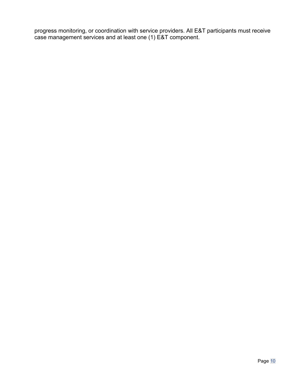progress monitoring, or coordination with service providers. All E&T participants must receive case management services and at least one (1) E&T component.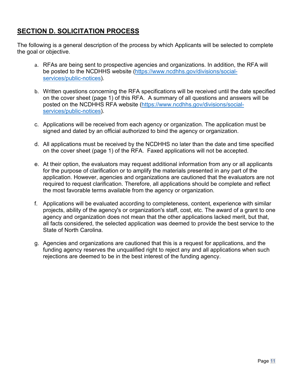# <span id="page-11-0"></span>**SECTION D. SOLICITATION PROCESS**

The following is a general description of the process by which Applicants will be selected to complete the goal or objective.

- a. RFAs are being sent to prospective agencies and organizations. In addition, the RFA will be posted to the NCDHHS website [\(https://www.ncdhhs.gov/divisions/social](https://www.ncdhhs.gov/divisions/social-services/public-notices)[services/public-notices\)](https://www.ncdhhs.gov/divisions/social-services/public-notices).
- b. Written questions concerning the RFA specifications will be received until the date specified on the cover sheet (page 1) of this RFA. A summary of all questions and answers will be posted on the NCDHHS RFA website [\(https://www.ncdhhs.gov/divisions/social](https://www.ncdhhs.gov/divisions/social-services/public-notices)[services/public-notices\)](https://www.ncdhhs.gov/divisions/social-services/public-notices).
- c. Applications will be received from each agency or organization. The application must be signed and dated by an official authorized to bind the agency or organization.
- d. All applications must be received by the NCDHHS no later than the date and time specified on the cover sheet (page 1) of the RFA. Faxed applications will not be accepted.
- e. At their option, the evaluators may request additional information from any or all applicants for the purpose of clarification or to amplify the materials presented in any part of the application. However, agencies and organizations are cautioned that the evaluators are not required to request clarification. Therefore, all applications should be complete and reflect the most favorable terms available from the agency or organization.
- f. Applications will be evaluated according to completeness, content, experience with similar projects, ability of the agency's or organization's staff, cost, etc. The award of a grant to one agency and organization does not mean that the other applications lacked merit, but that, all facts considered, the selected application was deemed to provide the best service to the State of North Carolina.
- g. Agencies and organizations are cautioned that this is a request for applications, and the funding agency reserves the unqualified right to reject any and all applications when such rejections are deemed to be in the best interest of the funding agency.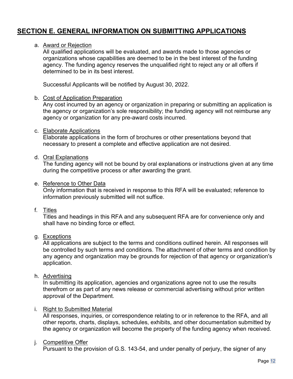# <span id="page-12-0"></span>**SECTION E. GENERAL INFORMATION ON SUBMITTING APPLICATIONS**

#### a. Award or Rejection

All qualified applications will be evaluated, and awards made to those agencies or organizations whose capabilities are deemed to be in the best interest of the funding agency. The funding agency reserves the unqualified right to reject any or all offers if determined to be in its best interest.

Successful Applicants will be notified by August 30, 2022.

#### b. Cost of Application Preparation

Any cost incurred by an agency or organization in preparing or submitting an application is the agency or organization's sole responsibility; the funding agency will not reimburse any agency or organization for any pre-award costs incurred.

#### c. Elaborate Applications

Elaborate applications in the form of brochures or other presentations beyond that necessary to present a complete and effective application are not desired.

#### d. Oral Explanations

The funding agency will not be bound by oral explanations or instructions given at any time during the competitive process or after awarding the grant.

#### e. Reference to Other Data

Only information that is received in response to this RFA will be evaluated; reference to information previously submitted will not suffice.

#### f. Titles

Titles and headings in this RFA and any subsequent RFA are for convenience only and shall have no binding force or effect.

#### g. Exceptions

All applications are subject to the terms and conditions outlined herein. All responses will be controlled by such terms and conditions. The attachment of other terms and condition by any agency and organization may be grounds for rejection of that agency or organization's application.

#### h. Advertising

In submitting its application, agencies and organizations agree not to use the results therefrom or as part of any news release or commercial advertising without prior written approval of the Department.

#### i. Right to Submitted Material

All responses, inquiries, or correspondence relating to or in reference to the RFA, and all other reports, charts, displays, schedules, exhibits, and other documentation submitted by the agency or organization will become the property of the funding agency when received.

#### j. Competitive Offer

Pursuant to the provision of G.S. 143-54, and under penalty of perjury, the signer of any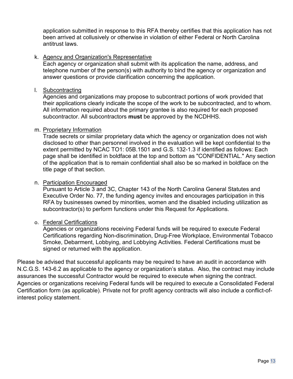application submitted in response to this RFA thereby certifies that this application has not been arrived at collusively or otherwise in violation of either Federal or North Carolina antitrust laws.

#### k. Agency and Organization's Representative

Each agency or organization shall submit with its application the name, address, and telephone number of the person(s) with authority to bind the agency or organization and answer questions or provide clarification concerning the application.

#### l. Subcontracting

Agencies and organizations may propose to subcontract portions of work provided that their applications clearly indicate the scope of the work to be subcontracted, and to whom. All information required about the primary grantee is also required for each proposed subcontractor. All subcontractors **must** be approved by the NCDHHS.

#### m. Proprietary Information

Trade secrets or similar proprietary data which the agency or organization does not wish disclosed to other than personnel involved in the evaluation will be kept confidential to the extent permitted by NCAC TO1: 05B.1501 and G.S. 132-1.3 if identified as follows: Each page shall be identified in boldface at the top and bottom as "CONFIDENTIAL." Any section of the application that is to remain confidential shall also be so marked in boldface on the title page of that section.

#### n. Participation Encouraged

Pursuant to Article 3 and 3C, Chapter 143 of the North Carolina General Statutes and Executive Order No. 77, the funding agency invites and encourages participation in this RFA by businesses owned by minorities, women and the disabled including utilization as subcontractor(s) to perform functions under this Request for Applications.

#### o. Federal Certifications

Agencies or organizations receiving Federal funds will be required to execute Federal Certifications regarding Non-discrimination, Drug-Free Workplace, Environmental Tobacco Smoke, Debarment, Lobbying, and Lobbying Activities. Federal Certifications must be signed or returned with the application.

Please be advised that successful applicants may be required to have an audit in accordance with N.C.G.S. 143-6.2 as applicable to the agency or organization's status. Also, the contract may include assurances the successful Contractor would be required to execute when signing the contract. Agencies or organizations receiving Federal funds will be required to execute a Consolidated Federal Certification form (as applicable). Private not for profit agency contracts will also include a conflict-ofinterest policy statement.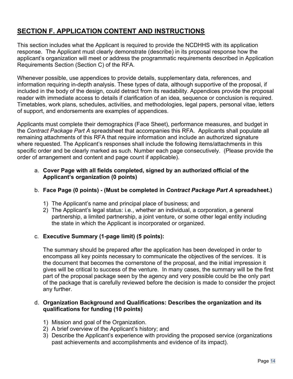# <span id="page-14-0"></span>**SECTION F. APPLICATION CONTENT AND INSTRUCTIONS**

This section includes what the Applicant is required to provide the NCDHHS with its application response. The Applicant must clearly demonstrate (describe) in its proposal response how the applicant's organization will meet or address the programmatic requirements described in Application Requirements Section (Section C) of the RFA.

Whenever possible, use appendices to provide details, supplementary data, references, and information requiring in-depth analysis. These types of data, although supportive of the proposal, if included in the body of the design, could detract from its readability. Appendices provide the proposal reader with immediate access to details if clarification of an idea, sequence or conclusion is required. Timetables, work plans, schedules, activities, and methodologies, legal papers, personal vitae, letters of support, and endorsements are examples of appendices.

Applicants must complete their demographics (Face Sheet), performance measures, and budget in the *Contract Package Part A* spreadsheet that accompanies this RFA. Applicants shall populate all remaining attachments of this RFA that require information and include an authorized signature where requested. The Applicant's responses shall include the following items/attachments in this specific order and be clearly marked as such. Number each page consecutively. (Please provide the order of arrangement and content and page count if applicable).

### a. **Cover Page with all fields completed, signed by an authorized official of the Applicant's organization (0 points)**

### b. **Face Page (0 points) - (Must be completed in** *Contract Package Part A* **spreadsheet.)**

- 1) The Applicant's name and principal place of business; and
- 2) The Applicant's legal status: i.e., whether an individual, a corporation, a general partnership, a limited partnership, a joint venture, or some other legal entity including the state in which the Applicant is incorporated or organized.

### c. **Executive Summary (1-page limit) (5 points):**

The summary should be prepared after the application has been developed in order to encompass all key points necessary to communicate the objectives of the services. It is the document that becomes the cornerstone of the proposal, and the initial impression it gives will be critical to success of the venture. In many cases, the summary will be the first part of the proposal package seen by the agency and very possible could be the only part of the package that is carefully reviewed before the decision is made to consider the project any further.

#### d. **Organization Background and Qualifications: Describes the organization and its qualifications for funding (10 points)**

- 1) Mission and goal of the Organization.
- 2) A brief overview of the Applicant's history; and
- 3) Describe the Applicant's experience with providing the proposed service (organizations past achievements and accomplishments and evidence of its impact).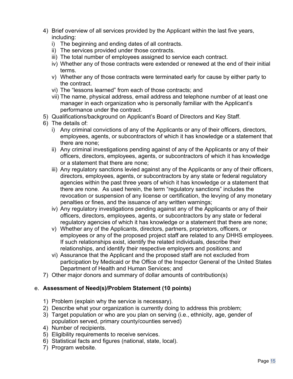- 4) Brief overview of all services provided by the Applicant within the last five years, including:
	- i) The beginning and ending dates of all contracts.
	- ii) The services provided under those contracts.
	- iii) The total number of employees assigned to service each contract.
	- iv) Whether any of those contracts were extended or renewed at the end of their initial terms.
	- v) Whether any of those contracts were terminated early for cause by either party to the contract.
	- vi) The "lessons learned" from each of those contracts; and
	- vii) The name, physical address, email address and telephone number of at least one manager in each organization who is personally familiar with the Applicant's performance under the contract.
- 5) Qualifications/background on Applicant's Board of Directors and Key Staff.
- 6) The details of:
	- i) Any criminal convictions of any of the Applicants or any of their officers, directors, employees, agents, or subcontractors of which it has knowledge or a statement that there are none;
	- ii) Any criminal investigations pending against of any of the Applicants or any of their officers, directors, employees, agents, or subcontractors of which it has knowledge or a statement that there are none;
	- iii) Any regulatory sanctions levied against any of the Applicants or any of their officers, directors, employees, agents, or subcontractors by any state or federal regulatory agencies within the past three years of which it has knowledge or a statement that there are none. As used herein, the term "regulatory sanctions" includes the revocation or suspension of any license or certification, the levying of any monetary penalties or fines, and the issuance of any written warnings;
	- iv) Any regulatory investigations pending against any of the Applicants or any of their officers, directors, employees, agents, or subcontractors by any state or federal regulatory agencies of which it has knowledge or a statement that there are none;
	- v) Whether any of the Applicants, directors, partners, proprietors, officers, or employees or any of the proposed project staff are related to any DHHS employees. If such relationships exist, identify the related individuals, describe their relationships, and identify their respective employers and positions; and
	- vi) Assurance that the Applicant and the proposed staff are not excluded from participation by Medicaid or the Office of the Inspector General of the United States Department of Health and Human Services; and
- 7) Other major donors and summary of dollar amounts of contribution(s)

### e. **Assessment of Need(s)/Problem Statement (10 points)**

- 1) Problem (explain why the service is necessary).
- 2) Describe what your organization is currently doing to address this problem;
- 3) Target population or who are you plan on serving (i.e., ethnicity, age, gender of population served, primary county/counties served)
- 4) Number of recipients.
- 5) Eligibility requirements to receive services.
- 6) Statistical facts and figures (national, state, local).
- 7) Program website.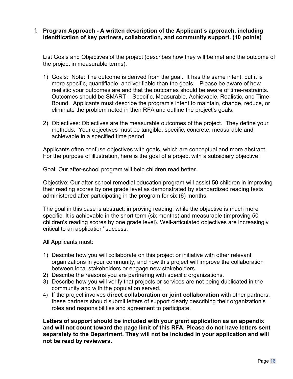#### f. **Program Approach - A written description of the Applicant's approach, including identification of key partners, collaboration, and community support. (10 points)**

List Goals and Objectives of the project (describes how they will be met and the outcome of the project in measurable terms).

- 1) Goals: Note: The outcome is derived from the goal. It has the same intent, but it is more specific, quantifiable, and verifiable than the goals. Please be aware of how realistic your outcomes are and that the outcomes should be aware of time-restraints. Outcomes should be SMART – Specific, Measurable, Achievable, Realistic, and Time-Bound. Applicants must describe the program's intent to maintain, change, reduce, or eliminate the problem noted in their RFA and outline the project's goals.
- 2) Objectives: Objectives are the measurable outcomes of the project. They define your methods. Your objectives must be tangible, specific, concrete, measurable and achievable in a specified time period.

Applicants often confuse objectives with goals, which are conceptual and more abstract. For the purpose of illustration, here is the goal of a project with a subsidiary objective:

Goal: Our after-school program will help children read better.

Objective: Our after-school remedial education program will assist 50 children in improving their reading scores by one grade level as demonstrated by standardized reading tests administered after participating in the program for six (6) months.

The goal in this case is abstract: improving reading, while the objective is much more specific. It is achievable in the short term (six months) and measurable (improving 50 children's reading scores by one grade level). Well-articulated objectives are increasingly critical to an application' success.

All Applicants must:

- 1) Describe how you will collaborate on this project or initiative with other relevant organizations in your community, and how this project will improve the collaboration between local stakeholders or engage new stakeholders.
- 2) Describe the reasons you are partnering with specific organizations.
- 3) Describe how you will verify that projects or services are not being duplicated in the community and with the population served.
- 4) If the project involves **direct collaboration or joint collaboration** with other partners, these partners should submit letters of support clearly describing their organization's roles and responsibilities and agreement to participate.

**Letters of support should be included with your grant application as an appendix and will not count toward the page limit of this RFA. Please do not have letters sent separately to the Department. They will not be included in your application and will not be read by reviewers.**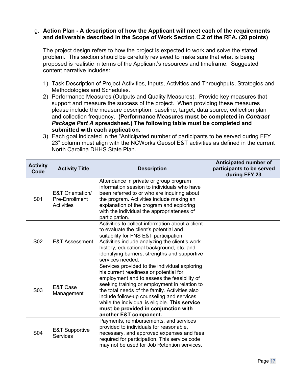#### g. **Action Plan - A description of how the Applicant will meet each of the requirements and deliverable described in the Scope of Work Section C.2 of the RFA. (20 points)**

The project design refers to how the project is expected to work and solve the stated problem. This section should be carefully reviewed to make sure that what is being proposed is realistic in terms of the Applicant's resources and timeframe. Suggested content narrative includes:

- 1) Task Description of Project Activities, Inputs, Activities and Throughputs, Strategies and Methodologies and Schedules.
- 2) Performance Measures (Outputs and Quality Measures). Provide key measures that support and measure the success of the project. When providing these measures please include the measure description, baseline, target, data source, collection plan and collection frequency. **(Performance Measures must be completed in** *Contract Package Part A* **spreadsheet.) The following table must be completed and submitted with each application.**
- 3) Each goal indicated in the "Anticipated number of participants to be served during FFY 23" column must align with the NCWorks Geosol E&T activities as defined in the current North Carolina DHHS State Plan.

| <b>Activity</b><br>Code | <b>Activity Title</b>                                              | <b>Description</b>                                                                                                                                                                                                                                                                                                                                                                                         | Anticipated number of<br>participants to be served<br>during FFY 23 |
|-------------------------|--------------------------------------------------------------------|------------------------------------------------------------------------------------------------------------------------------------------------------------------------------------------------------------------------------------------------------------------------------------------------------------------------------------------------------------------------------------------------------------|---------------------------------------------------------------------|
| S01                     | <b>E&amp;T Orientation/</b><br>Pre-Enrollment<br><b>Activities</b> | Attendance in private or group program<br>information session to individuals who have<br>been referred to or who are inquiring about<br>the program. Activities include making an<br>explanation of the program and exploring<br>with the individual the appropriateness of<br>participation.                                                                                                              |                                                                     |
| S <sub>02</sub>         | <b>E&amp;T Assessment</b>                                          | Activities to collect information about a client<br>to evaluate the client's potential and<br>suitability for FNS E&T participation.<br>Activities include analyzing the client's work<br>history, educational background, etc. and<br>identifying barriers, strengths and supportive<br>services needed.                                                                                                  |                                                                     |
| S <sub>0</sub> 3        | E&T Case<br>Management                                             | Services provided to the individual exploring<br>his current readiness or potential for<br>employment and to assess the feasibility of<br>seeking training or employment in relation to<br>the total needs of the family. Activities also<br>include follow-up counseling and services<br>while the individual is eligible. This service<br>must be provided in conjunction with<br>another E&T component. |                                                                     |
| S <sub>04</sub>         | <b>E&amp;T Supportive</b><br><b>Services</b>                       | Payments, reimbursements, and services<br>provided to individuals for reasonable,<br>necessary, and approved expenses and fees<br>required for participation. This service code<br>may not be used for Job Retention services.                                                                                                                                                                             |                                                                     |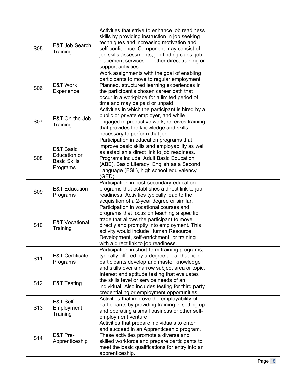| S <sub>05</sub> | E&T Job Search<br>Training                                              | Activities that strive to enhance job readiness<br>skills by providing instruction in job seeking<br>techniques and increasing motivation and<br>self-confidence. Component may consist of<br>job skills assessments, job finding clubs, job<br>placement services, or other direct training or<br>support activities. |  |
|-----------------|-------------------------------------------------------------------------|------------------------------------------------------------------------------------------------------------------------------------------------------------------------------------------------------------------------------------------------------------------------------------------------------------------------|--|
| S06             | E&T Work<br>Experience                                                  | Work assignments with the goal of enabling<br>participants to move to regular employment.<br>Planned, structured learning experiences in<br>the participant's chosen career path that<br>occur in a workplace for a limited period of<br>time and may be paid or unpaid.                                               |  |
| S07             | E&T On-the-Job<br>Training                                              | Activities in which the participant is hired by a<br>public or private employer, and while<br>engaged in productive work, receives training<br>that provides the knowledge and skills<br>necessary to perform that job.                                                                                                |  |
| <b>S08</b>      | <b>E&amp;T Basic</b><br>Education or<br><b>Basic Skills</b><br>Programs | Participation in education programs that<br>improve basic skills and employability as well<br>as establish a direct link to job readiness.<br>Programs include, Adult Basic Education<br>(ABE), Basic Literacy, English as a Second<br>Language (ESL), high school equivalency<br>$(GED)$ .                            |  |
| S <sub>09</sub> | <b>E&amp;T Education</b><br>Programs                                    | Participation in post-secondary education<br>programs that establishes a direct link to job<br>readiness. Activities typically lead to the<br>acquisition of a 2-year degree or similar.                                                                                                                               |  |
| S <sub>10</sub> | <b>E&amp;T Vocational</b><br>Training                                   | Participation in vocational courses and<br>programs that focus on teaching a specific<br>trade that allows the participant to move<br>directly and promptly into employment. This<br>activity would include Human Resource<br>Development, self-enrichment, or training<br>with a direct link to job readiness.        |  |
| S <sub>11</sub> | <b>E&amp;T Certificate</b><br>Programs                                  | Participation in short-term training programs,<br>typically offered by a degree area, that help<br>participants develop and master knowledge<br>and skills over a narrow subject area or topic.                                                                                                                        |  |
| S <sub>12</sub> | <b>E&amp;T Testing</b>                                                  | Interest and aptitude testing that evaluates<br>the skills level or service needs of an<br>individual. Also includes testing for third party<br>credentialing or employment opportunities                                                                                                                              |  |
| S <sub>13</sub> | E&T Self<br>Employment<br>Training                                      | Activities that improve the employability of<br>participants by providing training in setting up<br>and operating a small business or other self-<br>employment venture.                                                                                                                                               |  |
| S <sub>14</sub> | E&T Pre-<br>Apprenticeship                                              | Activities that prepare individuals to enter<br>and succeed in an Apprenticeship program.<br>These activities promote a diverse and<br>skilled workforce and prepare participants to<br>meet the basic qualifications for entry into an<br>apprenticeship.                                                             |  |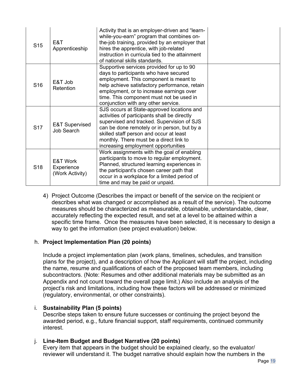| S <sub>15</sub> | E&T<br>Apprenticeship                     | Activity that is an employer-driven and "learn-<br>while-you-earn" program that combines on-<br>the-job training, provided by an employer that<br>hires the apprentice, with job-related<br>instruction in curricula tied to the attainment<br>of national skills standards.                                         |  |
|-----------------|-------------------------------------------|----------------------------------------------------------------------------------------------------------------------------------------------------------------------------------------------------------------------------------------------------------------------------------------------------------------------|--|
| S <sub>16</sub> | E&T Job<br>Retention                      | Supportive services provided for up to 90<br>days to participants who have secured<br>employment. This component is meant to<br>help achieve satisfactory performance, retain<br>employment, or to increase earnings over<br>time. This component must not be used in<br>conjunction with any other service.         |  |
| S <sub>17</sub> | <b>E&amp;T Supervised</b><br>Job Search   | SJS occurs at State-approved locations and<br>activities of participants shall be directly<br>supervised and tracked. Supervision of SJS<br>can be done remotely or in person, but by a<br>skilled staff person and occur at least<br>monthly. There must be a direct link to<br>increasing employment opportunities |  |
| S <sub>18</sub> | E&T Work<br>Experience<br>(Work Activity) | Work assignments with the goal of enabling<br>participants to move to regular employment.<br>Planned, structured learning experiences in<br>the participant's chosen career path that<br>occur in a workplace for a limited period of<br>time and may be paid or unpaid.                                             |  |

4) Project Outcome (Describes the impact or benefit of the service on the recipient or describes what was changed or accomplished as a result of the service). The outcome measures should be characterized as measurable, obtainable, understandable, clear, accurately reflecting the expected result, and set at a level to be attained within a specific time frame. Once the measures have been selected, it is necessary to design a way to get the information (see project evaluation) below.

# h. **Project Implementation Plan (20 points)**

Include a project implementation plan (work plans, timelines, schedules, and transition plans for the project), and a description of how the Applicant will staff the project, including the name, resume and qualifications of each of the proposed team members, including subcontractors. (Note: Resumes and other additional materials may be submitted as an Appendix and not count toward the overall page limit.) Also include an analysis of the project's risk and limitations, including how these factors will be addressed or minimized (regulatory, environmental, or other constraints).

# i. **Sustainability Plan (5 points)**

Describe steps taken to ensure future successes or continuing the project beyond the awarded period, e.g., future financial support, staff requirements, continued community interest.

# j. **Line-Item Budget and Budget Narrative (20 points)**

Every item that appears in the budget should be explained clearly, so the evaluator/ reviewer will understand it. The budget narrative should explain how the numbers in the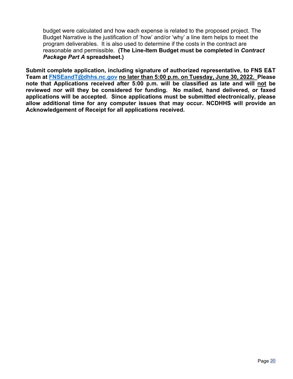budget were calculated and how each expense is related to the proposed project. The Budget Narrative is the justification of 'how' and/or 'why' a line item helps to meet the program deliverables. It is also used to determine if the costs in the contract are reasonable and permissible. **(The Line-Item Budget must be completed in** *Contract Package Part A* **spreadsheet.)**

**Submit complete application, including signature of authorized representative, to FNS E&T Team at [FNSEandT@dhhs.nc.gov](mailto:FNSEandT@dhhs.nc.gov) no later than 5:00 p.m. on Tuesday, June 30, 2022. Please note that Applications received after 5:00 p.m. will be classified as late and will not be reviewed nor will they be considered for funding. No mailed, hand delivered, or faxed applications will be accepted. Since applications must be submitted electronically, please allow additional time for any computer issues that may occur. NCDHHS will provide an Acknowledgement of Receipt for all applications received.**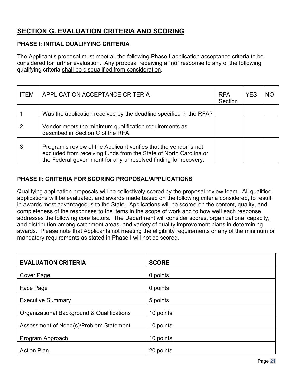# <span id="page-21-0"></span>**SECTION G. EVALUATION CRITERIA AND SCORING**

### **PHASE I: INITIAL QUALIFYING CRITERIA**

The Applicant's proposal must meet all the following Phase I application acceptance criteria to be considered for further evaluation. Any proposal receiving a "no" response to any of the following qualifying criteria shall be disqualified from consideration.

| <b>ITEM</b> | APPLICATION ACCEPTANCE CRITERIA                                                                                                                                                                           | <b>RFA</b><br>Section | <b>YES</b> | <b>NO</b> |
|-------------|-----------------------------------------------------------------------------------------------------------------------------------------------------------------------------------------------------------|-----------------------|------------|-----------|
|             | Was the application received by the deadline specified in the RFA?                                                                                                                                        |                       |            |           |
| 2           | Vendor meets the minimum qualification requirements as<br>described in Section C of the RFA.                                                                                                              |                       |            |           |
| 3           | Program's review of the Applicant verifies that the vendor is not<br>excluded from receiving funds from the State of North Carolina or<br>the Federal government for any unresolved finding for recovery. |                       |            |           |

### **PHASE II: CRITERIA FOR SCORING PROPOSAL/APPLICATIONS**

Qualifying application proposals will be collectively scored by the proposal review team. All qualified applications will be evaluated, and awards made based on the following criteria considered, to result in awards most advantageous to the State. Applications will be scored on the content, quality, and completeness of the responses to the items in the scope of work and to how well each response addresses the following core factors. The Department will consider scores, organizational capacity, and distribution among catchment areas, and variety of quality improvement plans in determining awards. Please note that Applicants not meeting the eligibility requirements or any of the minimum or mandatory requirements as stated in Phase I will not be scored.

| <b>EVALUATION CRITERIA</b>                 | <b>SCORE</b> |
|--------------------------------------------|--------------|
| <b>Cover Page</b>                          | 0 points     |
| Face Page                                  | 0 points     |
| <b>Executive Summary</b>                   | 5 points     |
| Organizational Background & Qualifications | 10 points    |
| Assessment of Need(s)/Problem Statement    | 10 points    |
| Program Approach                           | 10 points    |
| <b>Action Plan</b>                         | 20 points    |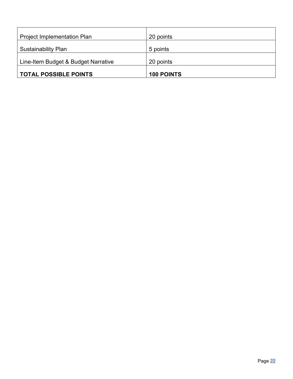| <b>Project Implementation Plan</b>  | 20 points         |
|-------------------------------------|-------------------|
| <b>Sustainability Plan</b>          | 5 points          |
| Line-Item Budget & Budget Narrative | 20 points         |
| <b>TOTAL POSSIBLE POINTS</b>        | <b>100 POINTS</b> |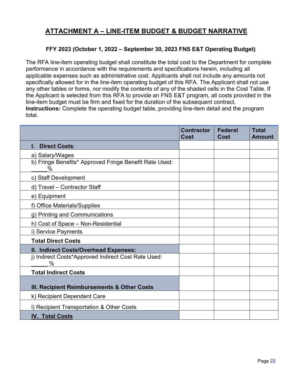# <span id="page-23-0"></span>**ATTACHMENT A – LINE-ITEM BUDGET & BUDGET NARRATIVE**

### **FFY 2023 (October 1, 2022 – September 30, 2023 FNS E&T Operating Budget)**

The RFA line-item operating budget shall constitute the total cost to the Department for complete performance in accordance with the requirements and specifications herein, including all applicable expenses such as administrative cost. Applicants shall not include any amounts not specifically allowed for in the line-item operating budget of this RFA. The Applicant shall not use any other tables or forms, nor modify the contents of any of the shaded cells in the Cost Table. If the Applicant is selected from this RFA to provide an FNS E&T program, all costs provided in the line-item budget must be firm and fixed for the duration of the subsequent contract. **Instructions:** Complete the operating budget table, providing line-item detail and the program total.

|                                                                      | <b>Contractor</b><br>Cost | <b>Federal</b><br>Cost | <b>Total</b><br><b>Amount</b> |
|----------------------------------------------------------------------|---------------------------|------------------------|-------------------------------|
| <b>Direct Costs:</b>                                                 |                           |                        |                               |
| a) Salary/Wages                                                      |                           |                        |                               |
| b) Fringe Benefits* Approved Fringe Benefit Rate Used:<br>$\%$       |                           |                        |                               |
| c) Staff Development                                                 |                           |                        |                               |
| d) Travel - Contractor Staff                                         |                           |                        |                               |
| e) Equipment                                                         |                           |                        |                               |
| f) Office Materials/Supplies                                         |                           |                        |                               |
| g) Printing and Communications                                       |                           |                        |                               |
| h) Cost of Space - Non-Residential                                   |                           |                        |                               |
| i) Service Payments                                                  |                           |                        |                               |
| <b>Total Direct Costs</b>                                            |                           |                        |                               |
| II. Indirect Costs/Overhead Expenses:                                |                           |                        |                               |
| j) Indirect Costs*Approved Indirect Cost Rate Used:<br>$\frac{0}{0}$ |                           |                        |                               |
| <b>Total Indirect Costs</b>                                          |                           |                        |                               |
| III. Recipient Reimbursements & Other Costs                          |                           |                        |                               |
| k) Recipient Dependent Care                                          |                           |                        |                               |
| I) Recipient Transportation & Other Costs                            |                           |                        |                               |
| <b>IV. Total Costs</b>                                               |                           |                        |                               |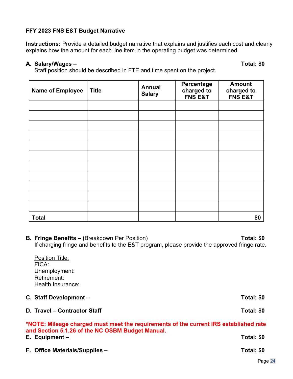#### **FFY 2023 FNS E&T Budget Narrative**

**Instructions:** Provide a detailed budget narrative that explains and justifies each cost and clearly explains how the amount for each line item in the operating budget was determined.

#### **A. Salary/Wages – Total: \$0**

Staff position should be described in FTE and time spent on the project.

| <b>Name of Employee</b> | <b>Title</b> | <b>Annual</b><br><b>Salary</b> | Percentage<br>charged to<br>FNS E&T | <b>Amount</b><br>charged to<br><b>FNS E&amp;T</b> |
|-------------------------|--------------|--------------------------------|-------------------------------------|---------------------------------------------------|
|                         |              |                                |                                     |                                                   |
|                         |              |                                |                                     |                                                   |
|                         |              |                                |                                     |                                                   |
|                         |              |                                |                                     |                                                   |
|                         |              |                                |                                     |                                                   |
|                         |              |                                |                                     |                                                   |
|                         |              |                                |                                     |                                                   |
|                         |              |                                |                                     |                                                   |
|                         |              |                                |                                     |                                                   |
|                         |              |                                |                                     |                                                   |
|                         |              |                                |                                     |                                                   |
| <b>Total</b>            |              |                                |                                     | \$0                                               |

**B. Fringe Benefits – (**Breakdown Per Position) **Total: \$0** If charging fringe and benefits to the E&T program, please provide the approved fringe rate.

|                                                                                       | <b>Position Title:</b><br>FICA:<br>Unemployment:<br>Retirement:<br>Health Insurance: |            |  |  |  |
|---------------------------------------------------------------------------------------|--------------------------------------------------------------------------------------|------------|--|--|--|
|                                                                                       | C. Staff Development -                                                               | Total: \$0 |  |  |  |
|                                                                                       | D. Travel - Contractor Staff                                                         | Total: \$0 |  |  |  |
| *NOTE: Mileage charged must meet the requirements of the current IRS established rate |                                                                                      |            |  |  |  |
|                                                                                       | and Section 5.1.26 of the NC OSBM Budget Manual.<br>E. Equipment -                   | Total: \$0 |  |  |  |
|                                                                                       | F. Office Materials/Supplies -                                                       | Total: \$0 |  |  |  |
|                                                                                       |                                                                                      |            |  |  |  |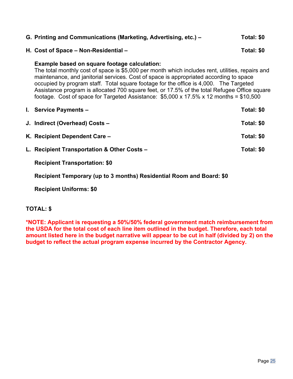| G. Printing and Communications (Marketing, Advertising, etc.) -                                                                                                                                                                                                                                                                                                                                                                                                                                                                                  | Total: \$0 |
|--------------------------------------------------------------------------------------------------------------------------------------------------------------------------------------------------------------------------------------------------------------------------------------------------------------------------------------------------------------------------------------------------------------------------------------------------------------------------------------------------------------------------------------------------|------------|
| H. Cost of Space – Non-Residential –                                                                                                                                                                                                                                                                                                                                                                                                                                                                                                             | Total: \$0 |
| Example based on square footage calculation:<br>The total monthly cost of space is \$5,000 per month which includes rent, utilities, repairs and<br>maintenance, and janitorial services. Cost of space is appropriated according to space<br>occupied by program staff. Total square footage for the office is 4,000. The Targeted<br>Assistance program is allocated 700 square feet, or 17.5% of the total Refugee Office square<br>footage. Cost of space for Targeted Assistance: $$5,000 \times 17.5\% \times 12 \text{ months} = $10,500$ |            |
| I. Service Payments –                                                                                                                                                                                                                                                                                                                                                                                                                                                                                                                            | Total: \$0 |
| J. Indirect (Overhead) Costs -                                                                                                                                                                                                                                                                                                                                                                                                                                                                                                                   | Total: \$0 |
| K. Recipient Dependent Care -                                                                                                                                                                                                                                                                                                                                                                                                                                                                                                                    | Total: \$0 |
| L. Recipient Transportation & Other Costs -                                                                                                                                                                                                                                                                                                                                                                                                                                                                                                      | Total: \$0 |
| <b>Recipient Transportation: \$0</b>                                                                                                                                                                                                                                                                                                                                                                                                                                                                                                             |            |

**Recipient Temporary (up to 3 months) Residential Room and Board: \$0** 

**Recipient Uniforms: \$0**

### **TOTAL: \$**

**\*NOTE: Applicant is requesting a 50%/50% federal government match reimbursement from the USDA for the total cost of each line item outlined in the budget. Therefore, each total amount listed here in the budget narrative will appear to be cut in half (divided by 2) on the budget to reflect the actual program expense incurred by the Contractor Agency.**